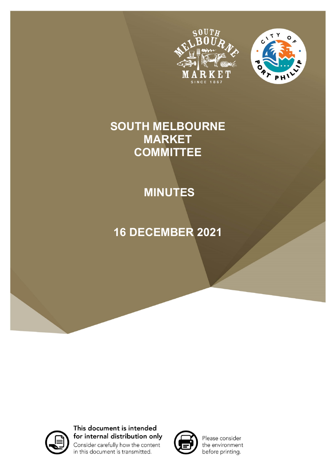



# **SOUTH MELBOURNE MARKET COMMITTEE**

# **MINUTES**

# **16 DECEMBER 2021**



This document is intended for internal distribution only Consider carefully how the content in this document is transmitted.



Please consider the environment before printing.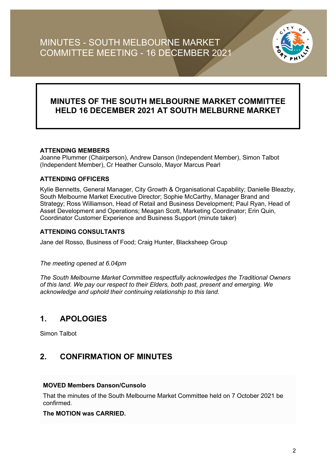

### **MINUTES OF THE SOUTH MELBOURNE MARKET COMMITTEE HELD 16 DECEMBER 2021 AT SOUTH MELBURNE MARKET**

#### **ATTENDING MEMBERS**

Joanne Plummer (Chairperson), Andrew Danson (Independent Member), Simon Talbot (Independent Member), Cr Heather Cunsolo, Mayor Marcus Pearl

#### **ATTENDING OFFICERS**

Kylie Bennetts, General Manager, City Growth & Organisational Capability; Danielle Bleazby, South Melbourne Market Executive Director; Sophie McCarthy, Manager Brand and Strategy; Ross Williamson, Head of Retail and Business Development; Paul Ryan, Head of Asset Development and Operations; Meagan Scott, Marketing Coordinator; Erin Quin, Coordinator Customer Experience and Business Support (minute taker)

#### **ATTENDING CONSULTANTS**

Jane del Rosso, Business of Food; Craig Hunter, Blacksheep Group

#### *The meeting opened at 6.04pm*

*The South Melbourne Market Committee respectfully acknowledges the Traditional Owners of this land. We pay our respect to their Elders, both past, present and emerging. We acknowledge and uphold their continuing relationship to this land.*

### **1. APOLOGIES**

Simon Talbot

### **2. CONFIRMATION OF MINUTES**

#### **MOVED Members Danson/Cunsolo**

That the minutes of the South Melbourne Market Committee held on 7 October 2021 be confirmed.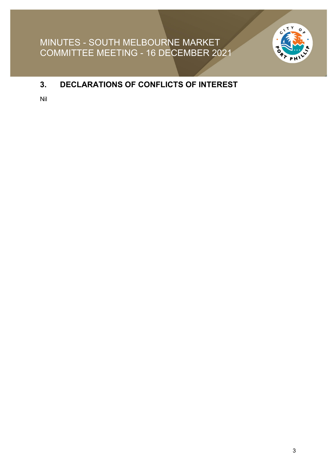

## **3. DECLARATIONS OF CONFLICTS OF INTEREST**

Nil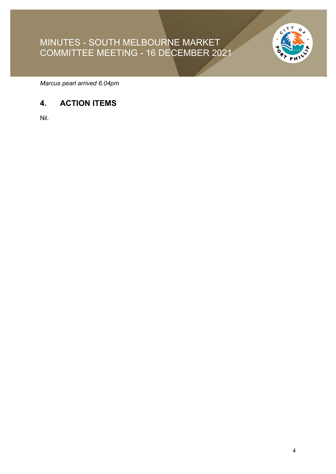

*Marcus pearl arrived 6.04pm*

## **4. ACTION ITEMS**

Nil.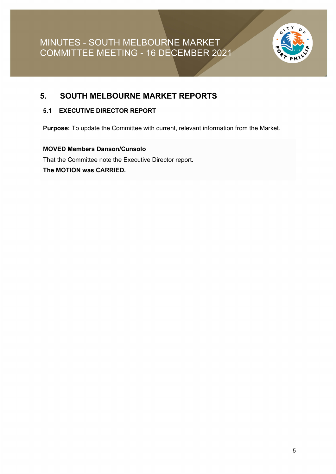

### **5. SOUTH MELBOURNE MARKET REPORTS**

#### **5.1 EXECUTIVE DIRECTOR REPORT**

**Purpose:** To update the Committee with current, relevant information from the Market.

**MOVED Members Danson/Cunsolo** That the Committee note the Executive Director report. **The MOTION was CARRIED.**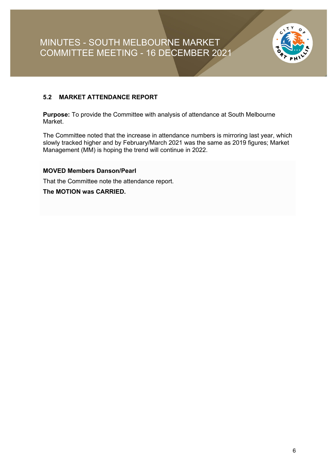

#### **5.2 MARKET ATTENDANCE REPORT**

**Purpose:** To provide the Committee with analysis of attendance at South Melbourne Market.

The Committee noted that the increase in attendance numbers is mirroring last year, which slowly tracked higher and by February/March 2021 was the same as 2019 figures; Market Management (MM) is hoping the trend will continue in 2022.

#### **MOVED Members Danson/Pearl**

That the Committee note the attendance report.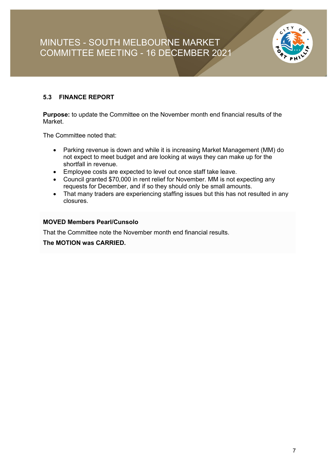

#### **5.3 FINANCE REPORT**

**Purpose:** to update the Committee on the November month end financial results of the Market.

The Committee noted that:

- Parking revenue is down and while it is increasing Market Management (MM) do not expect to meet budget and are looking at ways they can make up for the shortfall in revenue.
- Employee costs are expected to level out once staff take leave.
- Council granted \$70,000 in rent relief for November. MM is not expecting any requests for December, and if so they should only be small amounts.
- That many traders are experiencing staffing issues but this has not resulted in any closures.

#### **MOVED Members Pearl/Cunsolo**

That the Committee note the November month end financial results.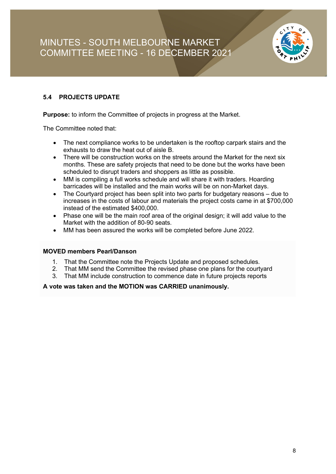

#### **5.4 PROJECTS UPDATE**

**Purpose:** to inform the Committee of projects in progress at the Market.

The Committee noted that:

- The next compliance works to be undertaken is the rooftop carpark stairs and the exhausts to draw the heat out of aisle B.
- There will be construction works on the streets around the Market for the next six months. These are safety projects that need to be done but the works have been scheduled to disrupt traders and shoppers as little as possible.
- MM is compiling a full works schedule and will share it with traders. Hoarding barricades will be installed and the main works will be on non-Market days.
- The Courtyard project has been split into two parts for budgetary reasons due to increases in the costs of labour and materials the project costs came in at \$700,000 instead of the estimated \$400,000.
- Phase one will be the main roof area of the original design; it will add value to the Market with the addition of 80-90 seats.
- MM has been assured the works will be completed before June 2022.

#### **MOVED members Pearl/Danson**

- 1. That the Committee note the Projects Update and proposed schedules.
- 2. That MM send the Committee the revised phase one plans for the courtyard
- 3. That MM include construction to commence date in future projects reports

#### **A vote was taken and the MOTION was CARRIED unanimously.**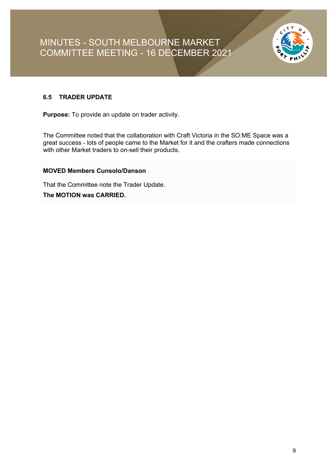

#### **6.5 TRADER UPDATE**

**Purpose:** To provide an update on trader activity.

The Committee noted that the collaboration with Craft Victoria in the SO:ME Space was a great success - lots of people came to the Market for it and the crafters made connections with other Market traders to on-sell their products.

#### **MOVED Members Cunsolo/Danson**

That the Committee note the Trader Update.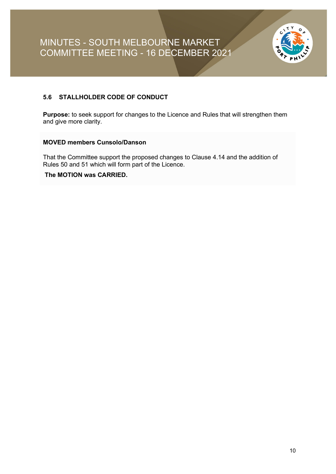

#### **5.6 STALLHOLDER CODE OF CONDUCT**

**Purpose:** to seek support for changes to the Licence and Rules that will strengthen them and give more clarity.

#### **MOVED members Cunsolo/Danson**

That the Committee support the proposed changes to Clause 4.14 and the addition of Rules 50 and 51 which will form part of the Licence.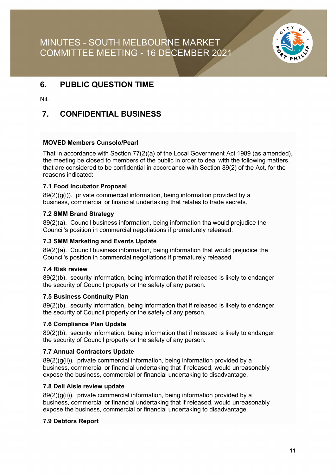

### **6. PUBLIC QUESTION TIME**

Nil.

### **7. CONFIDENTIAL BUSINESS**

#### **MOVED Members Cunsolo/Pearl**

That in accordance with Section 77(2)(a) of the Local Government Act 1989 (as amended), the meeting be closed to members of the public in order to deal with the following matters, that are considered to be confidential in accordance with Section 89(2) of the Act, for the reasons indicated:

#### **7.1 Food Incubator Proposal**

89(2)(g(i)). private commercial information, being information provided by a business, commercial or financial undertaking that relates to trade secrets.

#### **7.2 SMM Brand Strategy**

89(2)(a). Council business information, being information tha would prejudice the Council's position in commercial negotiations if prematurely released.

#### **7.3 SMM Marketing and Events Update**

89(2)(a). Council business information, being information that would prejudice the Council's position in commercial negotiations if prematurely released.

#### **7.4 Risk review**

89(2)(b). security information, being information that if released is likely to endanger the security of Council property or the safety of any person.

#### **7.5 Business Continuity Plan**

89(2)(b). security information, being information that if released is likely to endanger the security of Council property or the safety of any person.

#### **7.6 Compliance Plan Update**

89(2)(b). security information, being information that if released is likely to endanger the security of Council property or the safety of any person.

#### **7.7 Annual Contractors Update**

89(2)(g(ii)). private commercial information, being information provided by a business, commercial or financial undertaking that if released, would unreasonably expose the business, commercial or financial undertaking to disadvantage.

#### **7.8 Deli Aisle review update**

89(2)(g(ii)). private commercial information, being information provided by a business, commercial or financial undertaking that if released, would unreasonably expose the business, commercial or financial undertaking to disadvantage.

#### **7.9 Debtors Report**